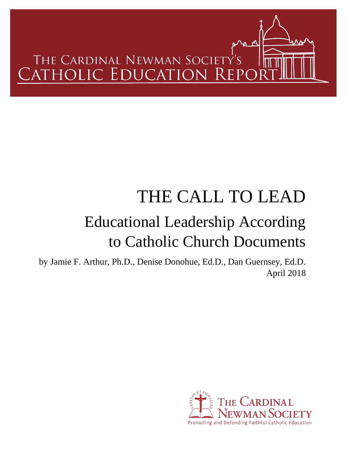

# THE CALL TO LEAD

## Educational Leadership According to Catholic Church Documents

by Jamie F. Arthur, Ph.D., Denise Donohue, Ed.D., Dan Guernsey, Ed.D. April 2018

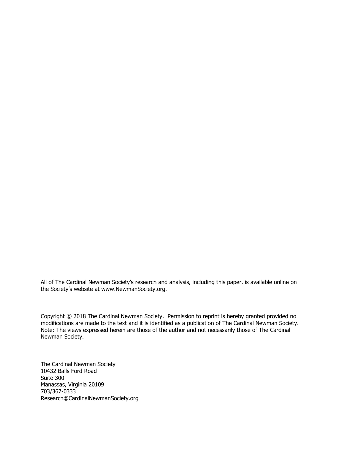All of The Cardinal Newman Society's research and analysis, including this paper, is available online on the Society's website at www.NewmanSociety.org.

Copyright © 2018 The Cardinal Newman Society. Permission to reprint is hereby granted provided no modifications are made to the text and it is identified as a publication of The Cardinal Newman Society. Note: The views expressed herein are those of the author and not necessarily those of The Cardinal Newman Society.

The Cardinal Newman Society 10432 Balls Ford Road Suite 300 Manassas, Virginia 20109 703/367-0333 Research@CardinalNewmanSociety.org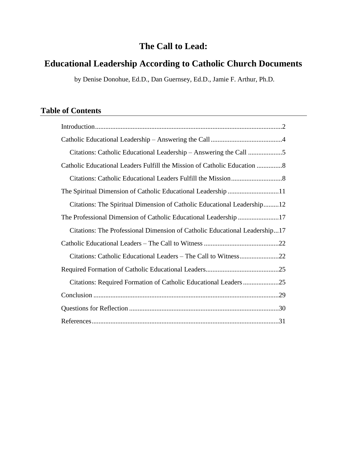## **The Call to Lead:**

## **Educational Leadership According to Catholic Church Documents**

by Denise Donohue, Ed.D., Dan Guernsey, Ed.D., Jamie F. Arthur, Ph.D.

## **Table of Contents**

| Citations: The Spiritual Dimension of Catholic Educational Leadership12    |
|----------------------------------------------------------------------------|
| The Professional Dimension of Catholic Educational Leadership 17           |
| Citations: The Professional Dimension of Catholic Educational Leadership17 |
|                                                                            |
|                                                                            |
|                                                                            |
|                                                                            |
|                                                                            |
|                                                                            |
|                                                                            |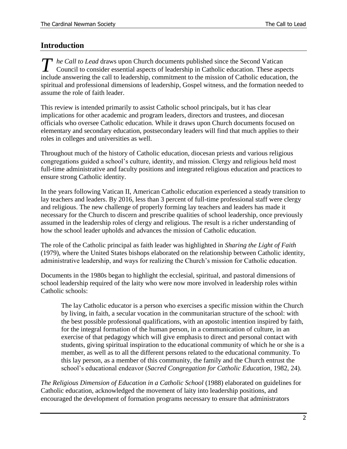## **Introduction**

<sup>*he Call to Lead* draws upon Church documents published since the Second Vatican</sup> Council to consider essential aspects of leadership in Catholic education. These aspects include answering the call to leadership, commitment to the mission of Catholic education, the spiritual and professional dimensions of leadership, Gospel witness, and the formation needed to assume the role of faith leader. *T*

This review is intended primarily to assist Catholic school principals, but it has clear implications for other academic and program leaders, directors and trustees, and diocesan officials who oversee Catholic education. While it draws upon Church documents focused on elementary and secondary education, postsecondary leaders will find that much applies to their roles in colleges and universities as well.

Throughout much of the history of Catholic education, diocesan priests and various religious congregations guided a school's culture, identity, and mission. Clergy and religious held most full-time administrative and faculty positions and integrated religious education and practices to ensure strong Catholic identity.

In the years following Vatican II, American Catholic education experienced a steady transition to lay teachers and leaders. By 2016, less than 3 percent of full-time professional staff were clergy and religious. The new challenge of properly forming lay teachers and leaders has made it necessary for the Church to discern and prescribe qualities of school leadership, once previously assumed in the leadership roles of clergy and religious. The result is a richer understanding of how the school leader upholds and advances the mission of Catholic education.

The role of the Catholic principal as faith leader was highlighted in *Sharing the Light of Faith*  (1979), where the United States bishops elaborated on the relationship between Catholic identity, administrative leadership, and ways for realizing the Church's mission for Catholic education.

Documents in the 1980s began to highlight the ecclesial, spiritual, and pastoral dimensions of school leadership required of the laity who were now more involved in leadership roles within Catholic schools:

The lay Catholic educator is a person who exercises a specific mission within the Church by living, in faith, a secular vocation in the communitarian structure of the school: with the best possible professional qualifications, with an apostolic intention inspired by faith, for the integral formation of the human person, in a communication of culture, in an exercise of that pedagogy which will give emphasis to direct and personal contact with students, giving spiritual inspiration to the educational community of which he or she is a member, as well as to all the different persons related to the educational community. To this lay person, as a member of this community, the family and the Church entrust the school's educational endeavor (*Sacred Congregation for Catholic Education*, 1982, 24).

*The Religious Dimension of Education in a Catholic School* (1988) elaborated on guidelines for Catholic education, acknowledged the movement of laity into leadership positions, and encouraged the development of formation programs necessary to ensure that administrators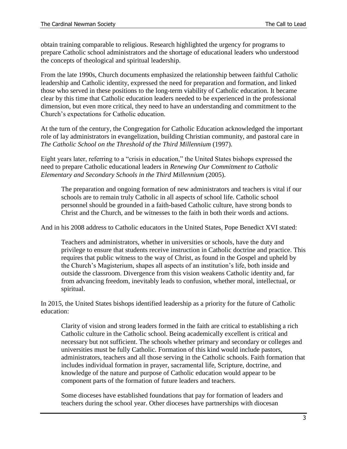obtain training comparable to religious. Research highlighted the urgency for programs to prepare Catholic school administrators and the shortage of educational leaders who understood the concepts of theological and spiritual leadership.

From the late 1990s, Church documents emphasized the relationship between faithful Catholic leadership and Catholic identity, expressed the need for preparation and formation, and linked those who served in these positions to the long-term viability of Catholic education. It became clear by this time that Catholic education leaders needed to be experienced in the professional dimension, but even more critical, they need to have an understanding and commitment to the Church's expectations for Catholic education.

At the turn of the century, the Congregation for Catholic Education acknowledged the important role of lay administrators in evangelization, building Christian community, and pastoral care in *The Catholic School on the Threshold of the Third Millennium* (1997).

Eight years later, referring to a "crisis in education," the United States bishops expressed the need to prepare Catholic educational leaders in *Renewing Our Commitment to Catholic Elementary and Secondary Schools in the Third Millennium* (2005).

The preparation and ongoing formation of new administrators and teachers is vital if our schools are to remain truly Catholic in all aspects of school life. Catholic school personnel should be grounded in a faith-based Catholic culture, have strong bonds to Christ and the Church, and be witnesses to the faith in both their words and actions.

And in his 2008 address to Catholic educators in the United States, Pope Benedict XVI stated:

Teachers and administrators, whether in universities or schools, have the duty and privilege to ensure that students receive instruction in Catholic doctrine and practice. This requires that public witness to the way of Christ, as found in the Gospel and upheld by the Church's Magisterium, shapes all aspects of an institution's life, both inside and outside the classroom. Divergence from this vision weakens Catholic identity and, far from advancing freedom, inevitably leads to confusion, whether moral, intellectual, or spiritual.

In 2015, the United States bishops identified leadership as a priority for the future of Catholic education:

Clarity of vision and strong leaders formed in the faith are critical to establishing a rich Catholic culture in the Catholic school. Being academically excellent is critical and necessary but not sufficient. The schools whether primary and secondary or colleges and universities must be fully Catholic. Formation of this kind would include pastors, administrators, teachers and all those serving in the Catholic schools. Faith formation that includes individual formation in prayer, sacramental life, Scripture, doctrine, and knowledge of the nature and purpose of Catholic education would appear to be component parts of the formation of future leaders and teachers.

Some dioceses have established foundations that pay for formation of leaders and teachers during the school year. Other dioceses have partnerships with diocesan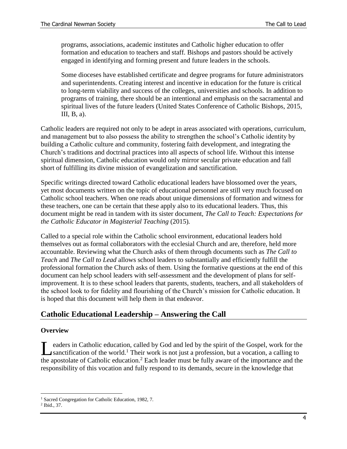programs, associations, academic institutes and Catholic higher education to offer formation and education to teachers and staff. Bishops and pastors should be actively engaged in identifying and forming present and future leaders in the schools.

Some dioceses have established certificate and degree programs for future administrators and superintendents. Creating interest and incentive in education for the future is critical to long-term viability and success of the colleges, universities and schools. In addition to programs of training, there should be an intentional and emphasis on the sacramental and spiritual lives of the future leaders (United States Conference of Catholic Bishops, 2015, III, B, a).

Catholic leaders are required not only to be adept in areas associated with operations, curriculum, and management but to also possess the ability to strengthen the school's Catholic identity by building a Catholic culture and community, fostering faith development, and integrating the Church's traditions and doctrinal practices into all aspects of school life. Without this intense spiritual dimension, Catholic education would only mirror secular private education and fall short of fulfilling its divine mission of evangelization and sanctification.

Specific writings directed toward Catholic educational leaders have blossomed over the years, yet most documents written on the topic of educational personnel are still very much focused on Catholic school teachers. When one reads about unique dimensions of formation and witness for these teachers, one can be certain that these apply also to its educational leaders. Thus, this document might be read in tandem with its sister document, *The Call to Teach: Expectations for the Catholic Educator in Magisterial Teaching* (2015)*.*

Called to a special role within the Catholic school environment, educational leaders hold themselves out as formal collaborators with the ecclesial Church and are, therefore, held more accountable. Reviewing what the Church asks of them through documents such as *The Call to Teach* and *The Call to Lead* allows school leaders to substantially and efficiently fulfill the professional formation the Church asks of them. Using the formative questions at the end of this document can help school leaders with self-assessment and the development of plans for selfimprovement. It is to these school leaders that parents, students, teachers, and all stakeholders of the school look to for fidelity and flourishing of the Church's mission for Catholic education. It is hoped that this document will help them in that endeavor.

## **Catholic Educational Leadership – Answering the Call**

#### **Overview**

eaders in Catholic education, called by God and led by the spirit of the Gospel, work for the **Sanctification of the world.**<sup>1</sup> Their work is not just a profession, but a vocation, a calling to the apostolate of Catholic education.<sup>2</sup> Each leader must be fully aware of the importance and the responsibility of this vocation and fully respond to its demands, secure in the knowledge that L

 $\overline{a}$ 

<sup>1</sup> Sacred Congregation for Catholic Education, 1982, 7.

<sup>2</sup> Ibid., 37.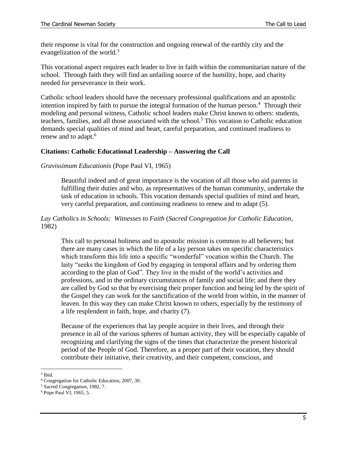their response is vital for the construction and ongoing renewal of the earthly city and the evangelization of the world.<sup>3</sup>

This vocational aspect requires each leader to live in faith within the communitarian nature of the school. Through faith they will find an unfailing source of the humility, hope, and charity needed for perseverance in their work.

Catholic school leaders should have the necessary professional qualifications and an apostolic intention inspired by faith to pursue the integral formation of the human person.<sup>4</sup> Through their modeling and personal witness, Catholic school leaders make Christ known to others: students, teachers, families, and all those associated with the school.<sup>5</sup> This vocation to Catholic education demands special qualities of mind and heart, careful preparation, and continued readiness to renew and to adapt.<sup>6</sup>

#### **Citations: Catholic Educational Leadership – Answering the Call**

*Gravissimum Educationis* (Pope Paul VI, 1965)

Beautiful indeed and of great importance is the vocation of all those who aid parents in fulfilling their duties and who, as representatives of the human community, undertake the task of education in schools. This vocation demands special qualities of mind and heart, very careful preparation, and continuing readiness to renew and to adapt (5).

#### *Lay Catholics in Schools: Witnesses to Faith* (*Sacred Congregation for Catholic Education*, 1982)

This call to personal holiness and to apostolic mission is common to all believers; but there are many cases in which the life of a lay person takes on specific characteristics which transform this life into a specific "wonderful" vocation within the Church. The laity "seeks the kingdom of God by engaging in temporal affairs and by ordering them according to the plan of God". They live in the midst of the world's activities and professions, and in the ordinary circumstances of family and social life; and there they are called by God so that by exercising their proper function and being led by the spirit of the Gospel they can work for the sanctification of the world from within, in the manner of leaven. In this way they can make Christ known to others, especially by the testimony of a life resplendent in faith, hope, and charity (7).

Because of the experiences that lay people acquire in their lives, and through their presence in all of the various spheres of human activity, they will be especially capable of recognizing and clarifying the signs of the times that characterize the present historical period of the People of God. Therefore, as a proper part of their vocation, they should contribute their initiative, their creativity, and their competent, conscious, and

 $\overline{a}$ 3 Ibid.

<sup>4</sup> Congregation for Catholic Education, 2007, 30.

<sup>5</sup> Sacred Congregation, 1982, 7.

<sup>6</sup> Pope Paul VI, 1965, 5.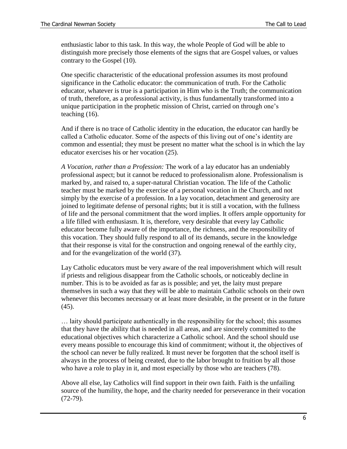enthusiastic labor to this task. In this way, the whole People of God will be able to distinguish more precisely those elements of the signs that are Gospel values, or values contrary to the Gospel (10).

One specific characteristic of the educational profession assumes its most profound significance in the Catholic educator: the communication of truth. For the Catholic educator, whatever is true is a participation in Him who is the Truth; the communication of truth, therefore, as a professional activity, is thus fundamentally transformed into a unique participation in the prophetic mission of Christ, carried on through one's teaching (16).

And if there is no trace of Catholic identity in the education, the educator can hardly be called a Catholic educator. Some of the aspects of this living out of one's identity are common and essential; they must be present no matter what the school is in which the lay educator exercises his or her vocation (25).

*A Vocation, rather than a Profession:* The work of a lay educator has an undeniably professional aspect; but it cannot be reduced to professionalism alone. Professionalism is marked by, and raised to, a super-natural Christian vocation. The life of the Catholic teacher must be marked by the exercise of a personal vocation in the Church, and not simply by the exercise of a profession. In a lay vocation, detachment and generosity are joined to legitimate defense of personal rights; but it is still a vocation, with the fullness of life and the personal commitment that the word implies. It offers ample opportunity for a life filled with enthusiasm. It is, therefore, very desirable that every lay Catholic educator become fully aware of the importance, the richness, and the responsibility of this vocation. They should fully respond to all of its demands, secure in the knowledge that their response is vital for the construction and ongoing renewal of the earthly city, and for the evangelization of the world (37).

Lay Catholic educators must be very aware of the real impoverishment which will result if priests and religious disappear from the Catholic schools, or noticeably decline in number. This is to be avoided as far as is possible; and yet, the laity must prepare themselves in such a way that they will be able to maintain Catholic schools on their own whenever this becomes necessary or at least more desirable, in the present or in the future (45).

… laity should participate authentically in the responsibility for the school; this assumes that they have the ability that is needed in all areas, and are sincerely committed to the educational objectives which characterize a Catholic school. And the school should use every means possible to encourage this kind of commitment; without it, the objectives of the school can never be fully realized. It must never be forgotten that the school itself is always in the process of being created, due to the labor brought to fruition by all those who have a role to play in it, and most especially by those who are teachers (78).

Above all else, lay Catholics will find support in their own faith. Faith is the unfailing source of the humility, the hope, and the charity needed for perseverance in their vocation (72-79).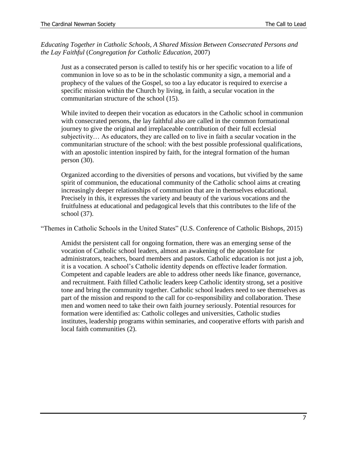*Educating Together in Catholic Schools, A Shared Mission Between Consecrated Persons and the Lay Faithful* (*Congregation for Catholic Education*, 2007)

Just as a consecrated person is called to testify his or her specific vocation to a life of communion in love so as to be in the scholastic community a sign, a memorial and a prophecy of the values of the Gospel, so too a lay educator is required to exercise a specific mission within the Church by living, in faith, a secular vocation in the communitarian structure of the school (15).

While invited to deepen their vocation as educators in the Catholic school in communion with consecrated persons, the lay faithful also are called in the common formational journey to give the original and irreplaceable contribution of their full ecclesial subjectivity… As educators, they are called on to live in faith a secular vocation in the communitarian structure of the school: with the best possible professional qualifications, with an apostolic intention inspired by faith, for the integral formation of the human person (30).

Organized according to the diversities of persons and vocations, but vivified by the same spirit of communion, the educational community of the Catholic school aims at creating increasingly deeper relationships of communion that are in themselves educational. Precisely in this, it expresses the variety and beauty of the various vocations and the fruitfulness at educational and pedagogical levels that this contributes to the life of the school (37).

"Themes in Catholic Schools in the United States" (U.S. Conference of Catholic Bishops, 2015)

Amidst the persistent call for ongoing formation, there was an emerging sense of the vocation of Catholic school leaders, almost an awakening of the apostolate for administrators, teachers, board members and pastors. Catholic education is not just a job, it is a vocation. A school's Catholic identity depends on effective leader formation. Competent and capable leaders are able to address other needs like finance, governance, and recruitment. Faith filled Catholic leaders keep Catholic identity strong, set a positive tone and bring the community together. Catholic school leaders need to see themselves as part of the mission and respond to the call for co-responsibility and collaboration. These men and women need to take their own faith journey seriously. Potential resources for formation were identified as: Catholic colleges and universities, Catholic studies institutes, leadership programs within seminaries, and cooperative efforts with parish and local faith communities (2).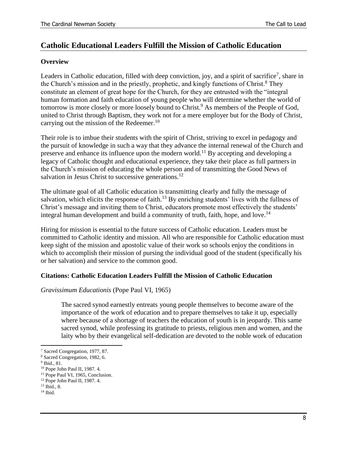#### **Catholic Educational Leaders Fulfill the Mission of Catholic Education**

#### **Overview**

Leaders in Catholic education, filled with deep conviction, joy, and a spirit of sacrifice<sup>7</sup>, share in the Church's mission and in the priestly, prophetic, and kingly functions of Christ.<sup>8</sup> They constitute an element of great hope for the Church, for they are entrusted with the "integral human formation and faith education of young people who will determine whether the world of tomorrow is more closely or more loosely bound to Christ.<sup>9</sup> As members of the People of God, united to Christ through Baptism, they work not for a mere employer but for the Body of Christ, carrying out the mission of the Redeemer.<sup>10</sup>

Their role is to imbue their students with the spirit of Christ, striving to excel in pedagogy and the pursuit of knowledge in such a way that they advance the internal renewal of the Church and preserve and enhance its influence upon the modern world.<sup>11</sup> By accepting and developing a legacy of Catholic thought and educational experience, they take their place as full partners in the Church's mission of educating the whole person and of transmitting the Good News of salvation in Jesus Christ to successive generations.<sup>12</sup>

The ultimate goal of all Catholic education is transmitting clearly and fully the message of salvation, which elicits the response of faith.<sup>13</sup> By enriching students' lives with the fullness of Christ's message and inviting them to Christ, educators promote most effectively the students' integral human development and build a community of truth, faith, hope, and love.<sup>14</sup>

Hiring for mission is essential to the future success of Catholic education. Leaders must be committed to Catholic identity and mission. All who are responsible for Catholic education must keep sight of the mission and apostolic value of their work so schools enjoy the conditions in which to accomplish their mission of pursing the individual good of the student (specifically his or her salvation) and service to the common good.

#### **Citations: Catholic Education Leaders Fulfill the Mission of Catholic Education**

#### *Gravissimum Educationis* (Pope Paul VI, 1965)

The sacred synod earnestly entreats young people themselves to become aware of the importance of the work of education and to prepare themselves to take it up, especially where because of a shortage of teachers the education of youth is in jeopardy. This same sacred synod, while professing its gratitude to priests, religious men and women, and the laity who by their evangelical self-dedication are devoted to the noble work of education

 $\overline{\phantom{a}}$ 

<sup>7</sup> Sacred Congregation, 1977, 87.

<sup>8</sup> Sacred Congregation, 1982, 6.

<sup>9</sup> Ibid., 81.

<sup>10</sup> Pope John Paul II, 1987. 4.

<sup>&</sup>lt;sup>11</sup> Pope Paul VI, 1965, Conclusion.

<sup>12</sup> Pope John Paul II, 1987. 4.

 $13$  Ibid., 8.

<sup>14</sup> Ibid.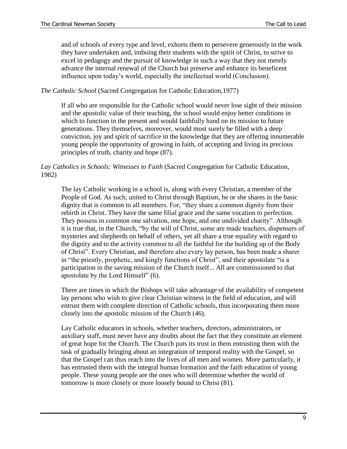and of schools of every type and level, exhorts them to persevere generously in the work they have undertaken and, imbuing their students with the spirit of Christ, to strive to excel in pedagogy and the pursuit of knowledge in such a way that they not merely advance the internal renewal of the Church but preserve and enhance its beneficent influence upon today's world, especially the intellectual world (Conclusion).

*The Catholic School* (Sacred Congregation for Catholic Education,1977)

If all who are responsible for the Catholic school would never lose sight of their mission and the apostolic value of their teaching, the school would enjoy better conditions in which to function in the present and would faithfully hand on its mission to future generations. They themselves, moreover, would most surely be filled with a deep conviction, joy and spirit of sacrifice in the knowledge that they are offering innumerable young people the opportunity of growing in faith, of accepting and living its precious principles of truth, charity and hope (87).

#### *Lay Catholics in Schools: Witnesses to Faith* (Sacred Congregation for Catholic Education, 1982)

The lay Catholic working in a school is, along with every Christian, a member of the People of God. As such, united to Christ through Baptism, he or she shares in the basic dignity that is common to all members. For, "they share a common dignity from their rebirth in Christ. They have the same filial grace and the same vocation to perfection. They possess in common one salvation, one hope, and one undivided charity". Although it is true that, in the Church, "by the will of Christ, some are made teachers, dispensers of mysteries and shepherds on behalf of others, yet all share a true equality with regard to the dignity and to the activity common to all the faithful for the building up of the Body of Christ". Every Christian, and therefore also every lay person, has been made a sharer in "the priestly, prophetic, and kingly functions of Christ", and their apostolate "is a participation in the saving mission of the Church itself... All are commissioned to that apostolate by the Lord Himself" (6).

There are times in which the Bishops will take advantage of the availability of competent lay persons who wish to give clear Christian witness in the field of education, and will entrust them with complete direction of Catholic schools, thus incorporating them more closely into the apostolic mission of the Church (46).

Lay Catholic educators in schools, whether teachers, directors, administrators, or auxiliary staff, must never have any doubts about the fact that they constitute an element of great hope for the Church. The Church puts its trust in them entrusting them with the task of gradually bringing about an integration of temporal reality with the Gospel, so that the Gospel can thus reach into the lives of all men and women. More particularly, it has entrusted them with the integral human formation and the faith education of young people. These young people are the ones who will determine whether the world of tomorrow is more closely or more loosely bound to Christ (81).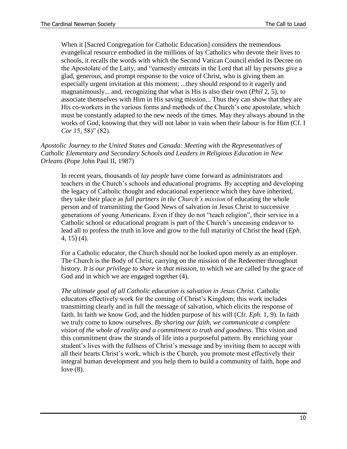When it [Sacred Congregation for Catholic Education] considers the tremendous evangelical resource embodied in the millions of lay Catholics who devote their lives to schools, it recalls the words with which the Second Vatican Council ended its Decree on the Apostolate of the Laity, and "earnestly entreats in the Lord that all lay persons give a glad, generous, and prompt response to the voice of Christ, who is giving them an especially urgent invitation at this moment; ...they should respond to it eagerly and magnanimously... and, recognizing that what is His is also their own (*Phil* 2, 5), to associate themselves with Him in His saving mission... Thus they can show that they are His co-workers in the various forms and methods of the Church's one apostolate, which must be constantly adapted to the new needs of the times. May they always abound in the works of God, knowing that they will not labor in vain when their labour is for Him (Cf. I *Cor* 15, 58)" (82).

*Apostolic Journey to the United States and Canada: Meeting with the Representatives of Catholic Elementary and Secondary Schools and Leaders in Religious Education in New Orleans* (Pope John Paul II, 1987)

In recent years, thousands of *lay people* have come forward as administrators and teachers in the Church's schools and educational programs. By accepting and developing the legacy of Catholic thought and educational experience which they have inherited, they take their place as *full partners in the Church's mission* of educating the whole person and of transmitting the Good News of salvation in Jesus Christ to successive generations of young Americans. Even if they do not "teach religion", their service in a Catholic school or educational program is part of the Church's unceasing endeavor to lead all to profess the truth in love and grow to the full maturity of Christ the head (*Eph*. 4, 15) (4).

For a Catholic educator, the Church should not be looked upon merely as an employer. The Church is the Body of Christ, carrying on the mission of the Redeemer throughout history. *It is our privilege to share in that mission*, to which we are called by the grace of God and in which we are engaged together (4).

*The ultimate goal of all Catholic education is salvation in Jesus Christ*. Catholic educators effectively work for the coming of Christ's Kingdom; this work includes transmitting clearly and in full the message of salvation, which elicits the response of faith. In faith we know God, and the hidden purpose of his will (Cfr. *Eph*. 1, 9). In faith we truly come to know ourselves. *By sharing our faith, we communicate a complete vision of the whole of reality and a commitment to truth and goodness*. This vision and this commitment draw the strands of life into a purposeful pattern. By enriching your student's lives with the fullness of Christ's message and by inviting them to accept with all their hearts Christ's work, which is the Church, you promote most effectively their integral human development and you help them to build a community of faith, hope and love (8).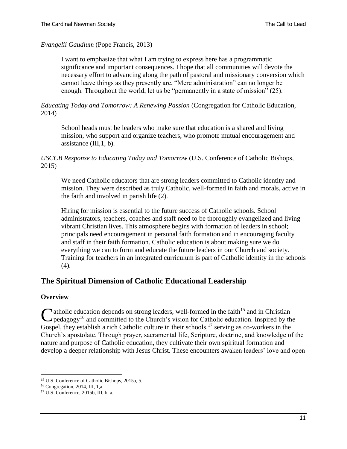*Evangelii Gaudium* (Pope Francis, 2013)

I want to emphasize that what I am trying to express here has a programmatic significance and important consequences. I hope that all communities will devote the necessary effort to advancing along the path of pastoral and missionary conversion which cannot leave things as they presently are. "Mere administration" can no longer be enough. Throughout the world, let us be "permanently in a state of mission" (25).

*Educating Today and Tomorrow: A Renewing Passion (Congregation for Catholic Education,* 2014)

School heads must be leaders who make sure that education is a shared and living mission, who support and organize teachers, who promote mutual encouragement and assistance (III,1, b).

#### *USCCB Response to Educating Today and Tomorrow* (U.S. Conference of Catholic Bishops, 2015)

We need Catholic educators that are strong leaders committed to Catholic identity and mission. They were described as truly Catholic, well-formed in faith and morals, active in the faith and involved in parish life (2).

Hiring for mission is essential to the future success of Catholic schools. School administrators, teachers, coaches and staff need to be thoroughly evangelized and living vibrant Christian lives. This atmosphere begins with formation of leaders in school; principals need encouragement in personal faith formation and in encouraging faculty and staff in their faith formation. Catholic education is about making sure we do everything we can to form and educate the future leaders in our Church and society. Training for teachers in an integrated curriculum is part of Catholic identity in the schools (4).

## **The Spiritual Dimension of Catholic Educational Leadership**

#### **Overview**

 $\overline{\phantom{a}}$ 

Atholic education depends on strong leaders, well-formed in the faith<sup>15</sup> and in Christian Catholic education depends on strong leaders, well-formed in the faith<sup>15</sup> and in Christian pedagogy<sup>16</sup> and committed to the Church's vision for Catholic education. Inspired by the Gospel, they establish a rich Catholic culture in their schools,<sup>17</sup> serving as co-workers in the Church's apostolate. Through prayer, sacramental life, Scripture, doctrine, and knowledge of the nature and purpose of Catholic education, they cultivate their own spiritual formation and develop a deeper relationship with Jesus Christ. These encounters awaken leaders' love and open

<sup>15</sup> U.S. Conference of Catholic Bishops, 2015a, 5.

<sup>16</sup> Congregation, 2014, III, 1,a.

<sup>17</sup> U.S. Conference, 2015b, III, b, a.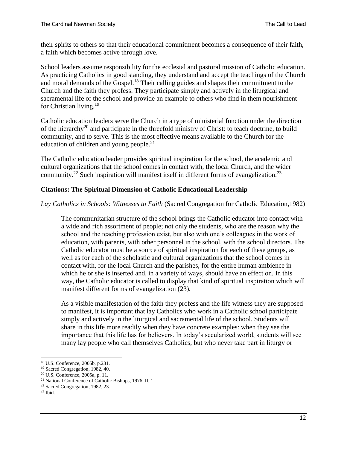their spirits to others so that their educational commitment becomes a consequence of their faith, a faith which becomes active through love.

School leaders assume responsibility for the ecclesial and pastoral mission of Catholic education. As practicing Catholics in good standing, they understand and accept the teachings of the Church and moral demands of the Gospel.<sup>18</sup> Their calling guides and shapes their commitment to the Church and the faith they profess. They participate simply and actively in the liturgical and sacramental life of the school and provide an example to others who find in them nourishment for Christian living.<sup>19</sup>

Catholic education leaders serve the Church in a type of ministerial function under the direction of the hierarchy<sup>20</sup> and participate in the threefold ministry of Christ: to teach doctrine, to build community, and to serve. This is the most effective means available to the Church for the education of children and young people. $21$ 

The Catholic education leader provides spiritual inspiration for the school, the academic and cultural organizations that the school comes in contact with, the local Church, and the wider community.<sup>22</sup> Such inspiration will manifest itself in different forms of evangelization.<sup>23</sup>

#### **Citations: The Spiritual Dimension of Catholic Educational Leadership**

*Lay Catholics in Schools: Witnesses to Faith* (Sacred Congregation for Catholic Education,1982)

The communitarian structure of the school brings the Catholic educator into contact with a wide and rich assortment of people; not only the students, who are the reason why the school and the teaching profession exist, but also with one's colleagues in the work of education, with parents, with other personnel in the school, with the school directors. The Catholic educator must be a source of spiritual inspiration for each of these groups, as well as for each of the scholastic and cultural organizations that the school comes in contact with, for the local Church and the parishes, for the entire human ambience in which he or she is inserted and, in a variety of ways, should have an effect on. In this way, the Catholic educator is called to display that kind of spiritual inspiration which will manifest different forms of evangelization (23).

As a visible manifestation of the faith they profess and the life witness they are supposed to manifest, it is important that lay Catholics who work in a Catholic school participate simply and actively in the liturgical and sacramental life of the school. Students will share in this life more readily when they have concrete examples: when they see the importance that this life has for believers. In today's secularized world, students will see many lay people who call themselves Catholics, but who never take part in liturgy or

 $\overline{\phantom{a}}$ <sup>18</sup> U.S. Conference, 2005b, p.231.

<sup>19</sup> Sacred Congregation, 1982, 40.

<sup>20</sup> U.S. Conference, 2005a, p. 11.

<sup>21</sup> National Conference of Catholic Bishops, 1976, II, 1.

<sup>22</sup> Sacred Congregation, 1982, 23.

<sup>23</sup> Ibid.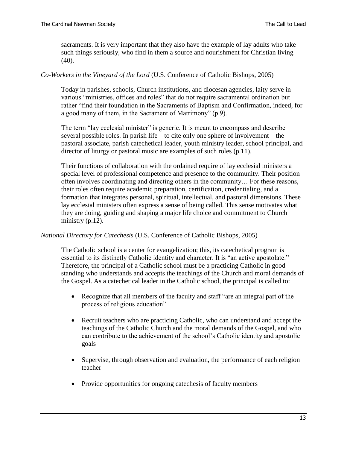sacraments. It is very important that they also have the example of lay adults who take such things seriously, who find in them a source and nourishment for Christian living (40).

#### *Co-Workers in the Vineyard of the Lord* (U.S. Conference of Catholic Bishops, 2005)

Today in parishes, schools, Church institutions, and diocesan agencies, laity serve in various "ministries, offices and roles" that do not require sacramental ordination but rather "find their foundation in the Sacraments of Baptism and Confirmation, indeed, for a good many of them, in the Sacrament of Matrimony" (p.9).

The term "lay ecclesial minister" is generic. It is meant to encompass and describe several possible roles. In parish life—to cite only one sphere of involvement—the pastoral associate, parish catechetical leader, youth ministry leader, school principal, and director of liturgy or pastoral music are examples of such roles (p.11).

Their functions of collaboration with the ordained require of lay ecclesial ministers a special level of professional competence and presence to the community. Their position often involves coordinating and directing others in the community… For these reasons, their roles often require academic preparation, certification, credentialing, and a formation that integrates personal, spiritual, intellectual, and pastoral dimensions. These lay ecclesial ministers often express a sense of being called. This sense motivates what they are doing, guiding and shaping a major life choice and commitment to Church ministry (p.12).

#### *National Directory for Catechesis* (U.S. Conference of Catholic Bishops, 2005)

The Catholic school is a center for evangelization; this, its catechetical program is essential to its distinctly Catholic identity and character. It is "an active apostolate." Therefore, the principal of a Catholic school must be a practicing Catholic in good standing who understands and accepts the teachings of the Church and moral demands of the Gospel. As a catechetical leader in the Catholic school, the principal is called to:

- Recognize that all members of the faculty and staff "are an integral part of the process of religious education"
- Recruit teachers who are practicing Catholic, who can understand and accept the teachings of the Catholic Church and the moral demands of the Gospel, and who can contribute to the achievement of the school's Catholic identity and apostolic goals
- Supervise, through observation and evaluation, the performance of each religion teacher
- Provide opportunities for ongoing cate chessis of faculty members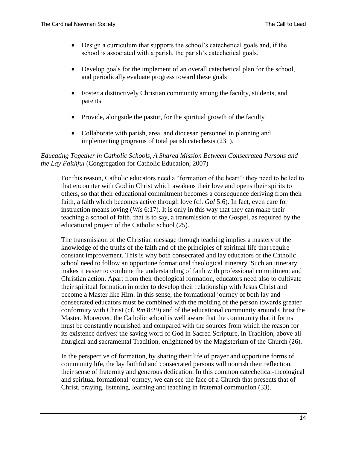- Design a curriculum that supports the school's catechetical goals and, if the school is associated with a parish, the parish's catechetical goals.
- Develop goals for the implement of an overall catechetical plan for the school, and periodically evaluate progress toward these goals
- Foster a distinctively Christian community among the faculty, students, and parents
- Provide, alongside the pastor, for the spiritual growth of the faculty
- Collaborate with parish, area, and diocesan personnel in planning and implementing programs of total parish catechesis (231).

#### *Educating Together in Catholic Schools, A Shared Mission Between Consecrated Persons and the Lay Faithful* (Congregation for Catholic Education, 2007)

For this reason, Catholic educators need a "formation of the heart": they need to be led to that encounter with God in Christ which awakens their love and opens their spirits to others, so that their educational commitment becomes a consequence deriving from their faith, a faith which becomes active through love (cf. *Gal* 5:6). In fact, even care for instruction means loving (*Wis* 6:17). It is only in this way that they can make their teaching a school of faith, that is to say, a transmission of the Gospel, as required by the educational project of the Catholic school (25).

The transmission of the Christian message through teaching implies a mastery of the knowledge of the truths of the faith and of the principles of spiritual life that require constant improvement. This is why both consecrated and lay educators of the Catholic school need to follow an opportune formational theological itinerary. Such an itinerary makes it easier to combine the understanding of faith with professional commitment and Christian action. Apart from their theological formation, educators need also to cultivate their spiritual formation in order to develop their relationship with Jesus Christ and become a Master like Him. In this sense, the formational journey of both lay and consecrated educators must be combined with the molding of the person towards greater conformity with Christ (cf. *Rm* 8:29) and of the educational community around Christ the Master. Moreover, the Catholic school is well aware that the community that it forms must be constantly nourished and compared with the sources from which the reason for its existence derives: the saving word of God in Sacred Scripture, in Tradition, above all liturgical and sacramental Tradition, enlightened by the Magisterium of the Church (26).

In the perspective of formation, by sharing their life of prayer and opportune forms of community life, the lay faithful and consecrated persons will nourish their reflection, their sense of fraternity and generous dedication. In this common catechetical-theological and spiritual formational journey, we can see the face of a Church that presents that of Christ, praying, listening, learning and teaching in fraternal communion (33).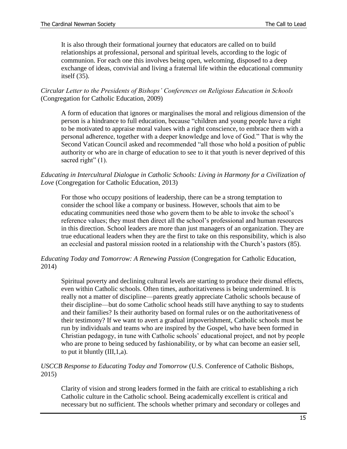It is also through their formational journey that educators are called on to build relationships at professional, personal and spiritual levels, according to the logic of communion. For each one this involves being open, welcoming, disposed to a deep exchange of ideas, convivial and living a fraternal life within the educational community itself (35).

*Circular Letter to the Presidents of Bishops' Conferences on Religious Education in Schools*  (Congregation for Catholic Education, 2009)

A form of education that ignores or marginalises the moral and religious dimension of the person is a hindrance to full education, because "children and young people have a right to be motivated to appraise moral values with a right conscience, to embrace them with a personal adherence, together with a deeper knowledge and love of God." That is why the Second Vatican Council asked and recommended "all those who hold a position of public authority or who are in charge of education to see to it that youth is never deprived of this sacred right" (1).

#### *Educating in Intercultural Dialogue in Catholic Schools: Living in Harmony for a Civilization of Love* (Congregation for Catholic Education, 2013)

For those who occupy positions of leadership, there can be a strong temptation to consider the school like a company or business. However, schools that aim to be educating communities need those who govern them to be able to invoke the school's reference values; they must then direct all the school's professional and human resources in this direction. School leaders are more than just managers of an organization. They are true educational leaders when they are the first to take on this responsibility, which is also an ecclesial and pastoral mission rooted in a relationship with the Church's pastors (85).

#### *Educating Today and Tomorrow: A Renewing Passion* (Congregation for Catholic Education, 2014)

Spiritual poverty and declining cultural levels are starting to produce their dismal effects, even within Catholic schools. Often times, authoritativeness is being undermined. It is really not a matter of discipline—parents greatly appreciate Catholic schools because of their discipline—but do some Catholic school heads still have anything to say to students and their families? Is their authority based on formal rules or on the authoritativeness of their testimony? If we want to avert a gradual impoverishment, Catholic schools must be run by individuals and teams who are inspired by the Gospel, who have been formed in Christian pedagogy, in tune with Catholic schools' educational project, and not by people who are prone to being seduced by fashionability, or by what can become an easier sell, to put it bluntly  $(III, 1, a)$ .

#### *USCCB Response to Educating Today and Tomorrow* (U.S. Conference of Catholic Bishops, 2015)

Clarity of vision and strong leaders formed in the faith are critical to establishing a rich Catholic culture in the Catholic school. Being academically excellent is critical and necessary but no sufficient. The schools whether primary and secondary or colleges and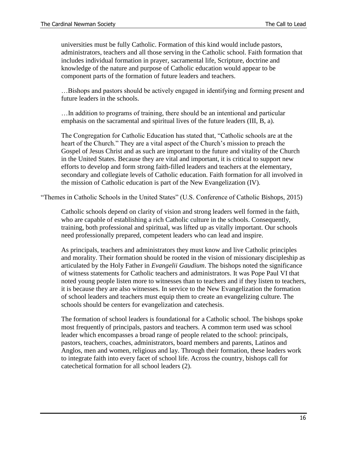universities must be fully Catholic. Formation of this kind would include pastors, administrators, teachers and all those serving in the Catholic school. Faith formation that includes individual formation in prayer, sacramental life, Scripture, doctrine and knowledge of the nature and purpose of Catholic education would appear to be component parts of the formation of future leaders and teachers.

…Bishops and pastors should be actively engaged in identifying and forming present and future leaders in the schools.

…In addition to programs of training, there should be an intentional and particular emphasis on the sacramental and spiritual lives of the future leaders (III, B, a).

The Congregation for Catholic Education has stated that, "Catholic schools are at the heart of the Church." They are a vital aspect of the Church's mission to preach the Gospel of Jesus Christ and as such are important to the future and vitality of the Church in the United States. Because they are vital and important, it is critical to support new efforts to develop and form strong faith-filled leaders and teachers at the elementary, secondary and collegiate levels of Catholic education. Faith formation for all involved in the mission of Catholic education is part of the New Evangelization (IV).

"Themes in Catholic Schools in the United States" (U.S. Conference of Catholic Bishops, 2015)

Catholic schools depend on clarity of vision and strong leaders well formed in the faith, who are capable of establishing a rich Catholic culture in the schools. Consequently, training, both professional and spiritual, was lifted up as vitally important. Our schools need professionally prepared, competent leaders who can lead and inspire.

As principals, teachers and administrators they must know and live Catholic principles and morality. Their formation should be rooted in the vision of missionary discipleship as articulated by the Holy Father in *Evangelii Gaudium*. The bishops noted the significance of witness statements for Catholic teachers and administrators. It was Pope Paul VI that noted young people listen more to witnesses than to teachers and if they listen to teachers, it is because they are also witnesses. In service to the New Evangelization the formation of school leaders and teachers must equip them to create an evangelizing culture. The schools should be centers for evangelization and catechesis.

The formation of school leaders is foundational for a Catholic school. The bishops spoke most frequently of principals, pastors and teachers. A common term used was school leader which encompasses a broad range of people related to the school: principals, pastors, teachers, coaches, administrators, board members and parents, Latinos and Anglos, men and women, religious and lay. Through their formation, these leaders work to integrate faith into every facet of school life. Across the country, bishops call for catechetical formation for all school leaders (2).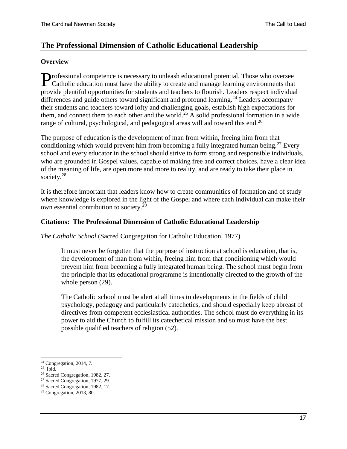## **The Professional Dimension of Catholic Educational Leadership**

#### **Overview**

Professional competence is necessary to unleash educational potential. Those who oversee Catholic education must have the ability to create and manage learning environments that  $\Gamma$  Catholic education must have the ability to create and manage learning environments that provide plentiful opportunities for students and teachers to flourish. Leaders respect individual differences and guide others toward significant and profound learning.<sup>24</sup> Leaders accompany their students and teachers toward lofty and challenging goals, establish high expectations for them, and connect them to each other and the world.<sup>25</sup> A solid professional formation in a wide range of cultural, psychological, and pedagogical areas will aid toward this end.<sup>26</sup>

The purpose of education is the development of man from within, freeing him from that conditioning which would prevent him from becoming a fully integrated human being.<sup>27</sup> Every school and every educator in the school should strive to form strong and responsible individuals, who are grounded in Gospel values, capable of making free and correct choices, have a clear idea of the meaning of life, are open more and more to reality, and are ready to take their place in society.<sup>28</sup>

It is therefore important that leaders know how to create communities of formation and of study where knowledge is explored in the light of the Gospel and where each individual can make their own essential contribution to society. $^{29}$ 

#### **Citations: The Professional Dimension of Catholic Educational Leadership**

*The Catholic School* (Sacred Congregation for Catholic Education, 1977)

It must never be forgotten that the purpose of instruction at school is education, that is, the development of man from within, freeing him from that conditioning which would prevent him from becoming a fully integrated human being. The school must begin from the principle that its educational programme is intentionally directed to the growth of the whole person (29).

The Catholic school must be alert at all times to developments in the fields of child psychology, pedagogy and particularly catechetics, and should especially keep abreast of directives from competent ecclesiastical authorities. The school must do everything in its power to aid the Church to fulfill its catechetical mission and so must have the best possible qualified teachers of religion (52).

 $\overline{\phantom{a}}$ <sup>24</sup> Congregation, 2014, 7.

<sup>25</sup> Ibid.

<sup>26</sup> Sacred Congregation, 1982, 27.

<sup>27</sup> Sacred Congregation, 1977, 29.

<sup>28</sup> Sacred Congregation, 1982, 17.

<sup>29</sup> Congregation, 2013, 80.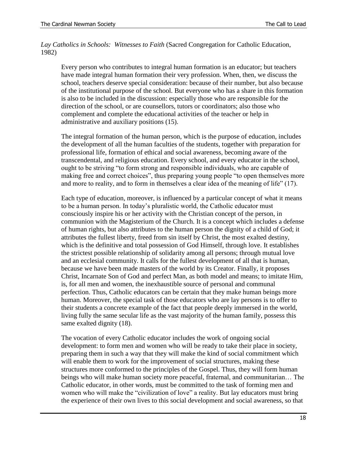*Lay Catholics in Schools: Witnesses to Faith* (Sacred Congregation for Catholic Education, 1982)

Every person who contributes to integral human formation is an educator; but teachers have made integral human formation their very profession. When, then, we discuss the school, teachers deserve special consideration: because of their number, but also because of the institutional purpose of the school. But everyone who has a share in this formation is also to be included in the discussion: especially those who are responsible for the direction of the school, or are counsellors, tutors or coordinators; also those who complement and complete the educational activities of the teacher or help in administrative and auxiliary positions (15).

The integral formation of the human person, which is the purpose of education, includes the development of all the human faculties of the students, together with preparation for professional life, formation of ethical and social awareness, becoming aware of the transcendental, and religious education. Every school, and every educator in the school, ought to be striving "to form strong and responsible individuals, who are capable of making free and correct choices", thus preparing young people "to open themselves more and more to reality, and to form in themselves a clear idea of the meaning of life" (17).

Each type of education, moreover, is influenced by a particular concept of what it means to be a human person. In today's pluralistic world, the Catholic educator must consciously inspire his or her activity with the Christian concept of the person, in communion with the Magisterium of the Church. It is a concept which includes a defense of human rights, but also attributes to the human person the dignity of a child of God; it attributes the fullest liberty, freed from sin itself by Christ, the most exalted destiny, which is the definitive and total possession of God Himself, through love. It establishes the strictest possible relationship of solidarity among all persons; through mutual love and an ecclesial community. It calls for the fullest development of all that is human, because we have been made masters of the world by its Creator. Finally, it proposes Christ, Incarnate Son of God and perfect Man, as both model and means; to imitate Him, is, for all men and women, the inexhaustible source of personal and communal perfection. Thus, Catholic educators can be certain that they make human beings more human. Moreover, the special task of those educators who are lay persons is to offer to their students a concrete example of the fact that people deeply immersed in the world, living fully the same secular life as the vast majority of the human family, possess this same exalted dignity (18).

The vocation of every Catholic educator includes the work of ongoing social development: to form men and women who will be ready to take their place in society, preparing them in such a way that they will make the kind of social commitment which will enable them to work for the improvement of social structures, making these structures more conformed to the principles of the Gospel. Thus, they will form human beings who will make human society more peaceful, fraternal, and communitarian… The Catholic educator, in other words, must be committed to the task of forming men and women who will make the "civilization of love" a reality. But lay educators must bring the experience of their own lives to this social development and social awareness, so that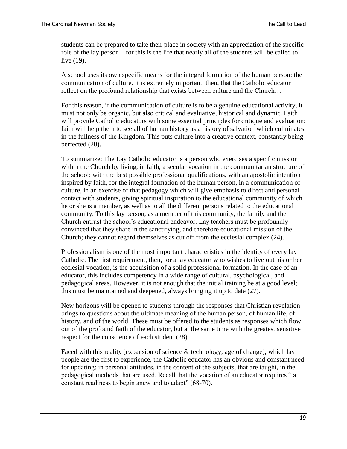students can be prepared to take their place in society with an appreciation of the specific role of the lay person—for this is the life that nearly all of the students will be called to live (19).

A school uses its own specific means for the integral formation of the human person: the communication of culture. It is extremely important, then, that the Catholic educator reflect on the profound relationship that exists between culture and the Church…

For this reason, if the communication of culture is to be a genuine educational activity, it must not only be organic, but also critical and evaluative, historical and dynamic. Faith will provide Catholic educators with some essential principles for critique and evaluation; faith will help them to see all of human history as a history of salvation which culminates in the fullness of the Kingdom. This puts culture into a creative context, constantly being perfected (20).

To summarize: The Lay Catholic educator is a person who exercises a specific mission within the Church by living, in faith, a secular vocation in the communitarian structure of the school: with the best possible professional qualifications, with an apostolic intention inspired by faith, for the integral formation of the human person, in a communication of culture, in an exercise of that pedagogy which will give emphasis to direct and personal contact with students, giving spiritual inspiration to the educational community of which he or she is a member, as well as to all the different persons related to the educational community. To this lay person, as a member of this community, the family and the Church entrust the school's educational endeavor. Lay teachers must be profoundly convinced that they share in the sanctifying, and therefore educational mission of the Church; they cannot regard themselves as cut off from the ecclesial complex (24).

Professionalism is one of the most important characteristics in the identity of every lay Catholic. The first requirement, then, for a lay educator who wishes to live out his or her ecclesial vocation, is the acquisition of a solid professional formation. In the case of an educator, this includes competency in a wide range of cultural, psychological, and pedagogical areas. However, it is not enough that the initial training be at a good level; this must be maintained and deepened, always bringing it up to date (27).

New horizons will be opened to students through the responses that Christian revelation brings to questions about the ultimate meaning of the human person, of human life, of history, and of the world. These must be offered to the students as responses which flow out of the profound faith of the educator, but at the same time with the greatest sensitive respect for the conscience of each student (28).

Faced with this reality [expansion of science & technology; age of change], which lay people are the first to experience, the Catholic educator has an obvious and constant need for updating: in personal attitudes, in the content of the subjects, that are taught, in the pedagogical methods that are used. Recall that the vocation of an educator requires " a constant readiness to begin anew and to adapt" (68-70).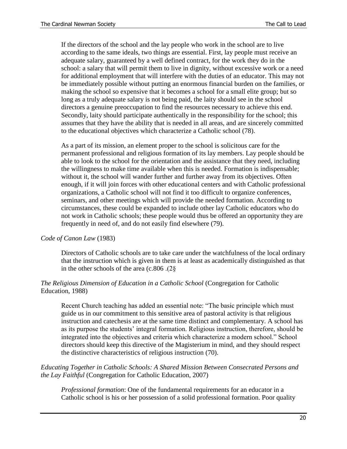If the directors of the school and the lay people who work in the school are to live according to the same ideals, two things are essential. First, lay people must receive an adequate salary, guaranteed by a well defined contract, for the work they do in the school: a salary that will permit them to live in dignity, without excessive work or a need for additional employment that will interfere with the duties of an educator. This may not be immediately possible without putting an enormous financial burden on the families, or making the school so expensive that it becomes a school for a small elite group; but so long as a truly adequate salary is not being paid, the laity should see in the school directors a genuine preoccupation to find the resources necessary to achieve this end. Secondly, laity should participate authentically in the responsibility for the school; this assumes that they have the ability that is needed in all areas, and are sincerely committed to the educational objectives which characterize a Catholic school (78).

As a part of its mission, an element proper to the school is solicitous care for the permanent professional and religious formation of its lay members. Lay people should be able to look to the school for the orientation and the assistance that they need, including the willingness to make time available when this is needed. Formation is indispensable; without it, the school will wander further and further away from its objectives. Often enough, if it will join forces with other educational centers and with Catholic professional organizations, a Catholic school will not find it too difficult to organize conferences, seminars, and other meetings which will provide the needed formation. According to circumstances, these could be expanded to include other lay Catholic educators who do not work in Catholic schools; these people would thus be offered an opportunity they are frequently in need of, and do not easily find elsewhere (79).

#### *Code of Canon Law* (1983)

Directors of Catholic schools are to take care under the watchfulness of the local ordinary that the instruction which is given in them is at least as academically distinguished as that in the other schools of the area  $(c.806)(2)$ 

#### *The Religious Dimension of Education in a Catholic School* (Congregation for Catholic Education, 1988)

Recent Church teaching has added an essential note: "The basic principle which must guide us in our commitment to this sensitive area of pastoral activity is that religious instruction and catechesis are at the same time distinct and complementary. A school has as its purpose the students' integral formation. Religious instruction, therefore, should be integrated into the objectives and criteria which characterize a modern school." School directors should keep this directive of the Magisterium in mind, and they should respect the distinctive characteristics of religious instruction (70).

#### *Educating Together in Catholic Schools: A Shared Mission Between Consecrated Persons and the Lay Faithful* (Congregation for Catholic Education, 2007)

*Professional formation*: One of the fundamental requirements for an educator in a Catholic school is his or her possession of a solid professional formation. Poor quality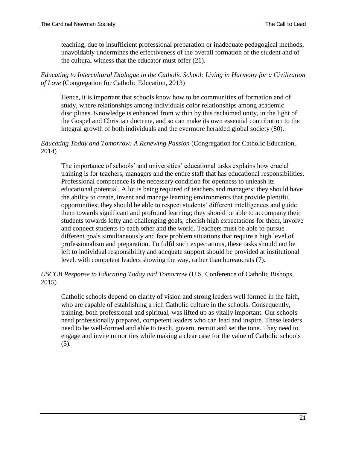teaching, due to insufficient professional preparation or inadequate pedagogical methods, unavoidably undermines the effectiveness of the overall formation of the student and of the cultural witness that the educator must offer (21).

*Educating to Intercultural Dialogue in the Catholic School: Living in Harmony for a Civilization of Love* (Congregation for Catholic Education, 2013)

Hence, it is important that schools know how to be communities of formation and of study, where relationships among individuals color relationships among academic disciplines. Knowledge is enhanced from within by this reclaimed unity, in the light of the Gospel and Christian doctrine, and so can make its own essential contribution to the integral growth of both individuals and the evermore heralded global society (80).

#### *Educating Today and Tomorrow: A Renewing Passion* (Congregation for Catholic Education, 2014)

The importance of schools' and universities' educational tasks explains how crucial training is for teachers, managers and the entire staff that has educational responsibilities. Professional competence is the necessary condition for openness to unleash its educational potential. A lot is being required of teachers and managers: they should have the ability to create, invent and manage learning environments that provide plentiful opportunities; they should be able to respect students' different intelligences and guide them towards significant and profound learning; they should be able to accompany their students towards lofty and challenging goals, cherish high expectations for them, involve and connect students to each other and the world. Teachers must be able to pursue different goals simultaneously and face problem situations that require a high level of professionalism and preparation. To fulfil such expectations, these tasks should not be left to individual responsibility and adequate support should be provided at institutional level, with competent leaders showing the way, rather than bureaucrats (7).

#### *USCCB Response to Educating Today and Tomorrow* (U.S. Conference of Catholic Bishops, 2015)

Catholic schools depend on clarity of vision and strong leaders well formed in the faith, who are capable of establishing a rich Catholic culture in the schools. Consequently, training, both professional and spiritual, was lifted up as vitally important. Our schools need professionally prepared, competent leaders who can lead and inspire. These leaders need to be well-formed and able to teach, govern, recruit and set the tone. They need to engage and invite minorities while making a clear case for the value of Catholic schools (5).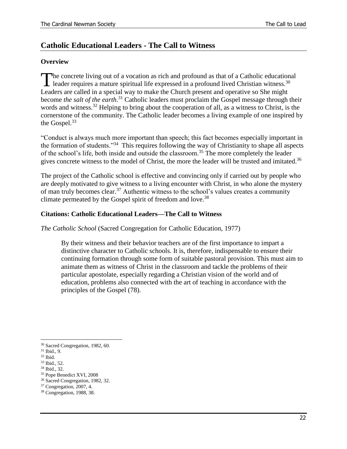## **Catholic Educational Leaders - The Call to Witness**

#### **Overview**

The concrete living out of a vocation as rich and profound as that of a Catholic educational leader requires a mature spiritual life expressed in a profound lived Christian witness.<sup>30</sup>  $\blacksquare$  leader requires a mature spiritual life expressed in a profound lived Christian witness.<sup>30</sup> Leaders are called in a special way to make the Church present and operative so She might become *the salt of the earth*. <sup>31</sup> Catholic leaders must proclaim the Gospel message through their words and witness.<sup>32</sup> Helping to bring about the cooperation of all, as a witness to Christ, is the cornerstone of the community. The Catholic leader becomes a living example of one inspired by the Gospel.<sup>33</sup>

"Conduct is always much more important than speech; this fact becomes especially important in the formation of students."<sup>34</sup> This requires following the way of Christianity to shape all aspects of the school's life, both inside and outside the classroom.<sup>35</sup> The more completely the leader gives concrete witness to the model of Christ, the more the leader will be trusted and imitated.<sup>36</sup>

The project of the Catholic school is effective and convincing only if carried out by people who are deeply motivated to give witness to a living encounter with Christ, in who alone the mystery of man truly becomes clear.<sup>37</sup> Authentic witness to the school's values creates a community climate permeated by the Gospel spirit of freedom and love.<sup>38</sup>

#### **Citations: Catholic Educational Leaders—The Call to Witness**

*The Catholic School* (Sacred Congregation for Catholic Education, 1977)

By their witness and their behavior teachers are of the first importance to impart a distinctive character to Catholic schools. It is, therefore, indispensable to ensure their continuing formation through some form of suitable pastoral provision. This must aim to animate them as witness of Christ in the classroom and tackle the problems of their particular apostolate, especially regarding a Christian vision of the world and of education, problems also connected with the art of teaching in accordance with the principles of the Gospel (78).

 $\overline{\phantom{a}}$ 

<sup>30</sup> Sacred Congregation, 1982, 60.

<sup>31</sup> Ibid., 9.

<sup>32</sup> Ibid.

<sup>33</sup> Ibid., 52.

<sup>34</sup> Ibid., 32.

<sup>35</sup> Pope Benedict XVI, 2008 <sup>36</sup> Sacred Congregation, 1982, 32.

<sup>37</sup> Congregation, 2007, 4.

<sup>38</sup> Congregation, 1988, 38.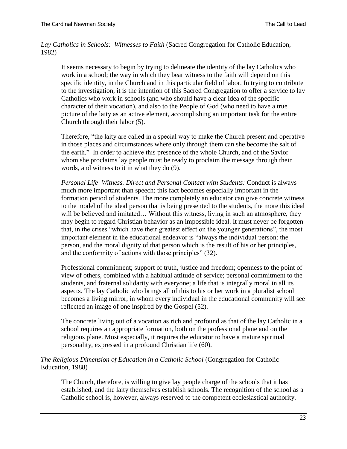*Lay Catholics in Schools: Witnesses to Faith* (Sacred Congregation for Catholic Education, 1982)

It seems necessary to begin by trying to delineate the identity of the lay Catholics who work in a school; the way in which they bear witness to the faith will depend on this specific identity, in the Church and in this particular field of labor. In trying to contribute to the investigation, it is the intention of this Sacred Congregation to offer a service to lay Catholics who work in schools (and who should have a clear idea of the specific character of their vocation), and also to the People of God (who need to have a true picture of the laity as an active element, accomplishing an important task for the entire Church through their labor (5).

Therefore, "the laity are called in a special way to make the Church present and operative in those places and circumstances where only through them can she become the salt of the earth." In order to achieve this presence of the whole Church, and of the Savior whom she proclaims lay people must be ready to proclaim the message through their words, and witness to it in what they do (9).

*Personal Life Witness. Direct and Personal Contact with Students:* Conduct is always much more important than speech; this fact becomes especially important in the formation period of students. The more completely an educator can give concrete witness to the model of the ideal person that is being presented to the students, the more this ideal will be believed and imitated... Without this witness, living in such an atmosphere, they may begin to regard Christian behavior as an impossible ideal. It must never be forgotten that, in the crises "which have their greatest effect on the younger generations", the most important element in the educational endeavor is "always the individual person: the person, and the moral dignity of that person which is the result of his or her principles, and the conformity of actions with those principles" (32).

Professional commitment; support of truth, justice and freedom; openness to the point of view of others, combined with a habitual attitude of service; personal commitment to the students, and fraternal solidarity with everyone; a life that is integrally moral in all its aspects. The lay Catholic who brings all of this to his or her work in a pluralist school becomes a living mirror, in whom every individual in the educational community will see reflected an image of one inspired by the Gospel (52).

The concrete living out of a vocation as rich and profound as that of the lay Catholic in a school requires an appropriate formation, both on the professional plane and on the religious plane. Most especially, it requires the educator to have a mature spiritual personality, expressed in a profound Christian life (60).

#### *The Religious Dimension of Education in a Catholic School* (Congregation for Catholic Education, 1988)

The Church, therefore, is willing to give lay people charge of the schools that it has established, and the laity themselves establish schools. The recognition of the school as a Catholic school is, however, always reserved to the competent ecclesiastical authority.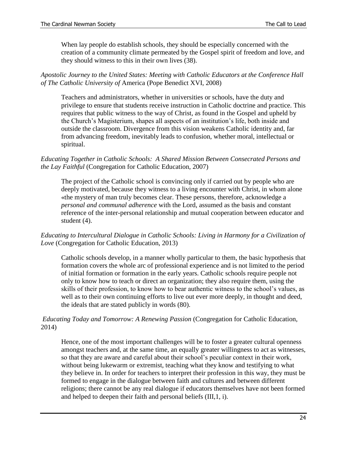When lay people do establish schools, they should be especially concerned with the creation of a community climate permeated by the Gospel spirit of freedom and love, and they should witness to this in their own lives (38).

#### *Apostolic Journey to the United States: Meeting with Catholic Educators at the Conference Hall of The Catholic University of* America (Pope Benedict XVI, 2008)

Teachers and administrators, whether in universities or schools, have the duty and privilege to ensure that students receive instruction in Catholic doctrine and practice. This requires that public witness to the way of Christ, as found in the Gospel and upheld by the Church's Magisterium, shapes all aspects of an institution's life, both inside and outside the classroom. Divergence from this vision weakens Catholic identity and, far from advancing freedom, inevitably leads to confusion, whether moral, intellectual or spiritual.

#### *Educating Together in Catholic Schools: A Shared Mission Between Consecrated Persons and the Lay Faithful* (Congregation for Catholic Education, 2007)

The project of the Catholic school is convincing only if carried out by people who are deeply motivated, because they witness to a living encounter with Christ, in whom alone «the mystery of man truly becomes clear. These persons, therefore, acknowledge a *personal and communal adherence* with the Lord, assumed as the basis and constant reference of the inter-personal relationship and mutual cooperation between educator and student (4).

#### *Educating to Intercultural Dialogue in Catholic Schools: Living in Harmony for a Civilization of Love* (Congregation for Catholic Education, 2013)

Catholic schools develop, in a manner wholly particular to them, the basic hypothesis that formation covers the whole arc of professional experience and is not limited to the period of initial formation or formation in the early years. Catholic schools require people not only to know how to teach or direct an organization; they also require them, using the skills of their profession, to know how to bear authentic witness to the school's values, as well as to their own continuing efforts to live out ever more deeply, in thought and deed, the ideals that are stated publicly in words (80).

#### *Educating Today and Tomorrow: A Renewing Passion* (Congregation for Catholic Education, 2014)

Hence, one of the most important challenges will be to foster a greater cultural openness amongst teachers and, at the same time, an equally greater willingness to act as witnesses, so that they are aware and careful about their school's peculiar context in their work, without being lukewarm or extremist, teaching what they know and testifying to what they believe in. In order for teachers to interpret their profession in this way, they must be formed to engage in the dialogue between faith and cultures and between different religions; there cannot be any real dialogue if educators themselves have not been formed and helped to deepen their faith and personal beliefs (III,1, i).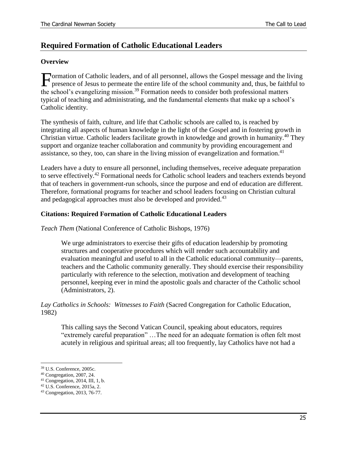## **Required Formation of Catholic Educational Leaders**

#### **Overview**

ormation of Catholic leaders, and of all personnel, allows the Gospel message and the living presence of Jesus to permeate the entire life of the school community and, thus, be faithful to the school's evangelizing mission.<sup>39</sup> Formation needs to consider both professional matters typical of teaching and administrating, and the fundamental elements that make up a school's Catholic identity. F

The synthesis of faith, culture, and life that Catholic schools are called to, is reached by integrating all aspects of human knowledge in the light of the Gospel and in fostering growth in Christian virtue. Catholic leaders facilitate growth in knowledge and growth in humanity.<sup>40</sup> They support and organize teacher collaboration and community by providing encouragement and assistance, so they, too, can share in the living mission of evangelization and formation.<sup>41</sup>

Leaders have a duty to ensure all personnel, including themselves, receive adequate preparation to serve effectively.<sup>42</sup> Formational needs for Catholic school leaders and teachers extends beyond that of teachers in government-run schools, since the purpose and end of education are different. Therefore, formational programs for teacher and school leaders focusing on Christian cultural and pedagogical approaches must also be developed and provided.<sup>43</sup>

#### **Citations: Required Formation of Catholic Educational Leaders**

*Teach Them* (National Conference of Catholic Bishops, 1976)

We urge administrators to exercise their gifts of education leadership by promoting structures and cooperative procedures which will render such accountability and evaluation meaningful and useful to all in the Catholic educational community—parents, teachers and the Catholic community generally. They should exercise their responsibility particularly with reference to the selection, motivation and development of teaching personnel, keeping ever in mind the apostolic goals and character of the Catholic school (Administrators, 2).

#### *Lay Catholics in Schools: Witnesses to Faith* (Sacred Congregation for Catholic Education, 1982)

This calling says the Second Vatican Council, speaking about educators, requires "extremely careful preparation" …The need for an adequate formation is often felt most acutely in religious and spiritual areas; all too frequently, lay Catholics have not had a

 $\overline{a}$ 

<sup>39</sup> U.S. Conference, 2005c.

<sup>40</sup> Congregation, 2007, 24.

<sup>41</sup> Congregation, 2014, III, 1, b.

<sup>42</sup> U.S. Conference, 2015a, 2.

<sup>43</sup> Congregation, 2013, 76-77.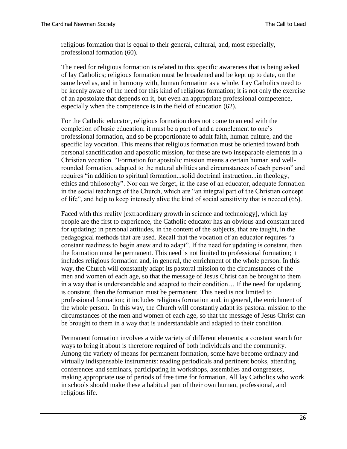religious formation that is equal to their general, cultural, and, most especially, professional formation (60).

The need for religious formation is related to this specific awareness that is being asked of lay Catholics; religious formation must be broadened and be kept up to date, on the same level as, and in harmony with, human formation as a whole. Lay Catholics need to be keenly aware of the need for this kind of religious formation; it is not only the exercise of an apostolate that depends on it, but even an appropriate professional competence, especially when the competence is in the field of education (62).

For the Catholic educator, religious formation does not come to an end with the completion of basic education; it must be a part of and a complement to one's professional formation, and so be proportionate to adult faith, human culture, and the specific lay vocation. This means that religious formation must be oriented toward both personal sanctification and apostolic mission, for these are two inseparable elements in a Christian vocation. "Formation for apostolic mission means a certain human and wellrounded formation, adapted to the natural abilities and circumstances of each person" and requires "in addition to spiritual formation...solid doctrinal instruction...in theology, ethics and philosophy". Nor can we forget, in the case of an educator, adequate formation in the social teachings of the Church, which are "an integral part of the Christian concept of life", and help to keep intensely alive the kind of social sensitivity that is needed (65).

Faced with this reality [extraordinary growth in science and technology], which lay people are the first to experience, the Catholic educator has an obvious and constant need for updating: in personal attitudes, in the content of the subjects, that are taught, in the pedagogical methods that are used. Recall that the vocation of an educator requires "a constant readiness to begin anew and to adapt". If the need for updating is constant, then the formation must be permanent. This need is not limited to professional formation; it includes religious formation and, in general, the enrichment of the whole person. In this way, the Church will constantly adapt its pastoral mission to the circumstances of the men and women of each age, so that the message of Jesus Christ can be brought to them in a way that is understandable and adapted to their condition… If the need for updating is constant, then the formation must be permanent. This need is not limited to professional formation; it includes religious formation and, in general, the enrichment of the whole person. In this way, the Church will constantly adapt its pastoral mission to the circumstances of the men and women of each age, so that the message of Jesus Christ can be brought to them in a way that is understandable and adapted to their condition.

Permanent formation involves a wide variety of different elements; a constant search for ways to bring it about is therefore required of both individuals and the community. Among the variety of means for permanent formation, some have become ordinary and virtually indispensable instruments: reading periodicals and pertinent books, attending conferences and seminars, participating in workshops, assemblies and congresses, making appropriate use of periods of free time for formation. All lay Catholics who work in schools should make these a habitual part of their own human, professional, and religious life.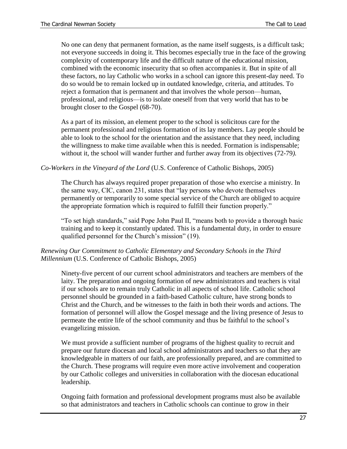No one can deny that permanent formation, as the name itself suggests, is a difficult task; not everyone succeeds in doing it. This becomes especially true in the face of the growing complexity of contemporary life and the difficult nature of the educational mission, combined with the economic insecurity that so often accompanies it. But in spite of all these factors, no lay Catholic who works in a school can ignore this present-day need. To do so would be to remain locked up in outdated knowledge, criteria, and attitudes. To reject a formation that is permanent and that involves the whole person—human, professional, and religious—is to isolate oneself from that very world that has to be brought closer to the Gospel (68-70).

As a part of its mission, an element proper to the school is solicitous care for the permanent professional and religious formation of its lay members. Lay people should be able to look to the school for the orientation and the assistance that they need, including the willingness to make time available when this is needed. Formation is indispensable; without it, the school will wander further and further away from its objectives (72-79*).*

*Co-Workers in the Vineyard of the Lord* (U.S. Conference of Catholic Bishops, 2005)

The Church has always required proper preparation of those who exercise a ministry. In the same way, CIC, canon 231, states that "lay persons who devote themselves permanently or temporarily to some special service of the Church are obliged to acquire the appropriate formation which is required to fulfill their function properly."

"To set high standards," said Pope John Paul II, "means both to provide a thorough basic training and to keep it constantly updated. This is a fundamental duty, in order to ensure qualified personnel for the Church's mission" (19).

#### *Renewing Our Commitment to Catholic Elementary and Secondary Schools in the Third Millennium* (U.S. Conference of Catholic Bishops, 2005)

Ninety-five percent of our current school administrators and teachers are members of the laity. The preparation and ongoing formation of new administrators and teachers is vital if our schools are to remain truly Catholic in all aspects of school life. Catholic school personnel should be grounded in a faith-based Catholic culture, have strong bonds to Christ and the Church, and be witnesses to the faith in both their words and actions. The formation of personnel will allow the Gospel message and the living presence of Jesus to permeate the entire life of the school community and thus be faithful to the school's evangelizing mission.

We must provide a sufficient number of programs of the highest quality to recruit and prepare our future diocesan and local school administrators and teachers so that they are knowledgeable in matters of our faith, are professionally prepared, and are committed to the Church. These programs will require even more active involvement and cooperation by our Catholic colleges and universities in collaboration with the diocesan educational leadership.

Ongoing faith formation and professional development programs must also be available so that administrators and teachers in Catholic schools can continue to grow in their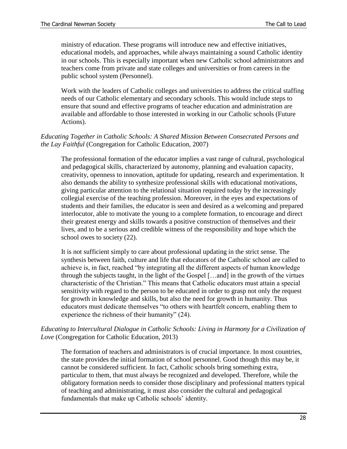ministry of education. These programs will introduce new and effective initiatives, educational models, and approaches, while always maintaining a sound Catholic identity in our schools. This is especially important when new Catholic school administrators and teachers come from private and state colleges and universities or from careers in the public school system (Personnel).

Work with the leaders of Catholic colleges and universities to address the critical staffing needs of our Catholic elementary and secondary schools. This would include steps to ensure that sound and effective programs of teacher education and administration are available and affordable to those interested in working in our Catholic schools (Future Actions).

#### *Educating Together in Catholic Schools: A Shared Mission Between Consecrated Persons and the Lay Faithful* (Congregation for Catholic Education, 2007)

The professional formation of the educator implies a vast range of cultural, psychological and pedagogical skills, characterized by autonomy, planning and evaluation capacity, creativity, openness to innovation, aptitude for updating, research and experimentation. It also demands the ability to synthesize professional skills with educational motivations, giving particular attention to the relational situation required today by the increasingly collegial exercise of the teaching profession. Moreover, in the eyes and expectations of students and their families, the educator is seen and desired as a welcoming and prepared interlocutor, able to motivate the young to a complete formation, to encourage and direct their greatest energy and skills towards a positive construction of themselves and their lives, and to be a serious and credible witness of the responsibility and hope which the school owes to society (22).

It is not sufficient simply to care about professional updating in the strict sense. The synthesis between faith, culture and life that educators of the Catholic school are called to achieve is, in fact, reached "by integrating all the different aspects of human knowledge through the subjects taught, in the light of the Gospel […and] in the growth of the virtues characteristic of the Christian." This means that Catholic educators must attain a special sensitivity with regard to the person to be educated in order to grasp not only the request for growth in knowledge and skills, but also the need for growth in humanity. Thus educators must dedicate themselves "to others with heartfelt concern, enabling them to experience the richness of their humanity" (24).

#### *Educating to Intercultural Dialogue in Catholic Schools: Living in Harmony for a Civilization of Love* (Congregation for Catholic Education, 2013)

The formation of teachers and administrators is of crucial importance. In most countries, the state provides the initial formation of school personnel. Good though this may be, it cannot be considered sufficient. In fact, Catholic schools bring something extra, particular to them, that must always be recognized and developed. Therefore, while the obligatory formation needs to consider those disciplinary and professional matters typical of teaching and administrating, it must also consider the cultural and pedagogical fundamentals that make up Catholic schools' identity.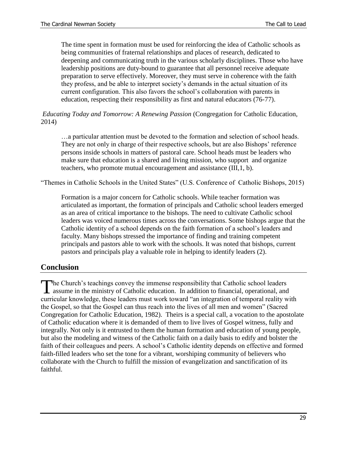The time spent in formation must be used for reinforcing the idea of Catholic schools as being communities of fraternal relationships and places of research, dedicated to deepening and communicating truth in the various scholarly disciplines. Those who have leadership positions are duty-bound to guarantee that all personnel receive adequate preparation to serve effectively. Moreover, they must serve in coherence with the faith they profess, and be able to interpret society's demands in the actual situation of its current configuration. This also favors the school's collaboration with parents in education, respecting their responsibility as first and natural educators (76-77).

#### *Educating Today and Tomorrow: A Renewing Passion* (Congregation for Catholic Education, 2014)

…a particular attention must be devoted to the formation and selection of school heads. They are not only in charge of their respective schools, but are also Bishops' reference persons inside schools in matters of pastoral care. School heads must be leaders who make sure that education is a shared and living mission, who support and organize teachers, who promote mutual encouragement and assistance (III,1, b).

"Themes in Catholic Schools in the United States" (U.S. Conference of Catholic Bishops, 2015)

Formation is a major concern for Catholic schools. While teacher formation was articulated as important, the formation of principals and Catholic school leaders emerged as an area of critical importance to the bishops. The need to cultivate Catholic school leaders was voiced numerous times across the conversations. Some bishops argue that the Catholic identity of a school depends on the faith formation of a school's leaders and faculty. Many bishops stressed the importance of finding and training competent principals and pastors able to work with the schools. It was noted that bishops, current pastors and principals play a valuable role in helping to identify leaders (2).

## **Conclusion**

he Church's teachings convey the immense responsibility that Catholic school leaders The Church's teachings convey the immense responsibility that Catholic school leaders assume in the ministry of Catholic education. In addition to financial, operational, and curricular knowledge, these leaders must work toward "an integration of temporal reality with the Gospel, so that the Gospel can thus reach into the lives of all men and women" (Sacred Congregation for Catholic Education, 1982). Theirs is a special call, a vocation to the apostolate of Catholic education where it is demanded of them to live lives of Gospel witness, fully and integrally. Not only is it entrusted to them the human formation and education of young people, but also the modeling and witness of the Catholic faith on a daily basis to edify and bolster the faith of their colleagues and peers. A school's Catholic identity depends on effective and formed faith-filled leaders who set the tone for a vibrant, worshiping community of believers who collaborate with the Church to fulfill the mission of evangelization and sanctification of its faithful.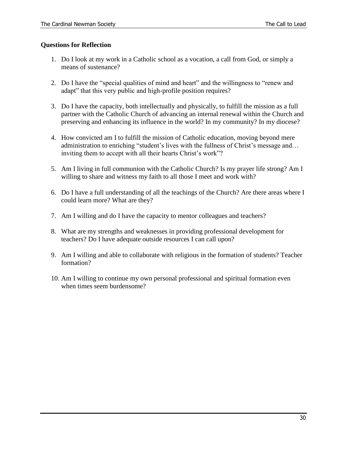#### **Questions for Reflection**

- 1. Do I look at my work in a Catholic school as a vocation, a call from God, or simply a means of sustenance?
- 2. Do I have the "special qualities of mind and heart" and the willingness to "renew and adapt" that this very public and high-profile position requires?
- 3. Do I have the capacity, both intellectually and physically, to fulfill the mission as a full partner with the Catholic Church of advancing an internal renewal within the Church and preserving and enhancing its influence in the world? In my community? In my diocese?
- 4. How convicted am I to fulfill the mission of Catholic education, moving beyond mere administration to enriching "student's lives with the fullness of Christ's message and… inviting them to accept with all their hearts Christ's work"?
- 5. Am I living in full communion with the Catholic Church? Is my prayer life strong? Am I willing to share and witness my faith to all those I meet and work with?
- 6. Do I have a full understanding of all the teachings of the Church? Are there areas where I could learn more? What are they?
- 7. Am I willing and do I have the capacity to mentor colleagues and teachers?
- 8. What are my strengths and weaknesses in providing professional development for teachers? Do I have adequate outside resources I can call upon?
- 9. Am I willing and able to collaborate with religious in the formation of students? Teacher formation?
- 10. Am I willing to continue my own personal professional and spiritual formation even when times seem burdensome?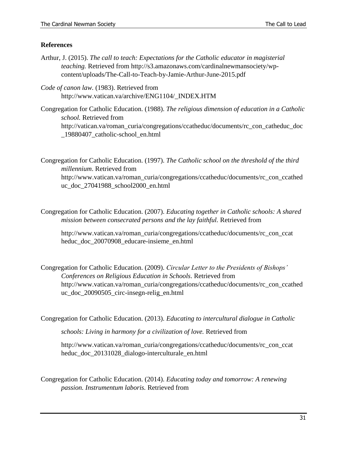#### **References**

- Arthur, J. (2015). *The call to teach: Expectations for the Catholic educator in magisterial teaching.* Retrieved from http://s3.amazonaws.com/cardinalnewmansociety/wpcontent/uploads/The-Call-to-Teach-by-Jamie-Arthur-June-2015.pdf
- *Code of canon law.* (1983). Retrieved from http://www.vatican.va/archive/ENG1104/\_INDEX.HTM
- Congregation for Catholic Education. (1988). *The religious dimension of education in a Catholic school.* Retrieved from http://vatican.va/roman\_curia/congregations/ccatheduc/documents/rc\_con\_catheduc\_doc \_19880407\_catholic-school\_en.html

Congregation for Catholic Education. (1997). *The Catholic school on the threshold of the third millennium*. Retrieved from http://www.vatican.va/roman\_curia/congregations/ccatheduc/documents/rc\_con\_ccathed uc\_doc\_27041988\_school2000\_en.html

Congregation for Catholic Education. (2007). *Educating together in Catholic schools: A shared mission between consecrated persons and the lay faithful.* Retrieved from

http://www.vatican.va/roman\_curia/congregations/ccatheduc/documents/rc\_con\_ccat heduc\_doc\_20070908\_educare-insieme\_en.html

Congregation for Catholic Education. (2009). *Circular Letter to the Presidents of Bishops' Conferences on Religious Education in Schools*. Retrieved from http://www.vatican.va/roman\_curia/congregations/ccatheduc/documents/rc\_con\_ccathed uc\_doc\_20090505\_circ-insegn-relig\_en.html

Congregation for Catholic Education. (2013). *Educating to intercultural dialogue in Catholic*

*schools: Living in harmony for a civilization of love.* Retrieved from

http://www.vatican.va/roman\_curia/congregations/ccatheduc/documents/rc\_con\_ccat heduc\_doc\_20131028\_dialogo-interculturale\_en.html

Congregation for Catholic Education. (2014). *Educating today and tomorrow: A renewing passion. Instrumentum laboris.* Retrieved from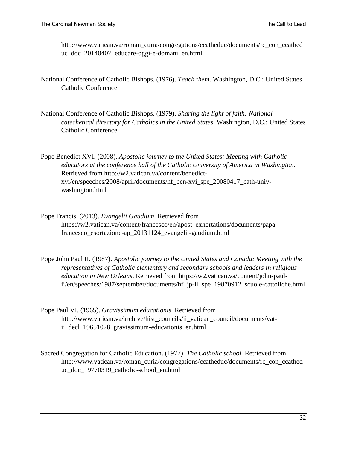http://www.vatican.va/roman\_curia/congregations/ccatheduc/documents/rc\_con\_ccathed uc\_doc\_20140407\_educare-oggi-e-domani\_en.html

- National Conference of Catholic Bishops. (1976). *Teach them*. Washington, D.C.: United States Catholic Conference.
- National Conference of Catholic Bishops. (1979). *Sharing the light of faith: National catechetical directory for Catholics in the United States.* Washington, D.C.: United States Catholic Conference.

Pope Benedict XVI. (2008). *Apostolic journey to the United States: Meeting with Catholic educators at the conference hall of the Catholic University of America in Washington.*  Retrieved from http://w2.vatican.va/content/benedictxvi/en/speeches/2008/april/documents/hf\_ben-xvi\_spe\_20080417\_cath-univwashington.html

Pope Francis. (2013). *Evangelii Gaudium*. Retrieved from https://w2.vatican.va/content/francesco/en/apost\_exhortations/documents/papafrancesco\_esortazione-ap\_20131124\_evangelii-gaudium.html

Pope John Paul II. (1987). *Apostolic journey to the United States and Canada: Meeting with the representatives of Catholic elementary and secondary schools and leaders in religious education in New Orleans*. Retrieved from https://w2.vatican.va/content/john-paulii/en/speeches/1987/september/documents/hf\_jp-ii\_spe\_19870912\_scuole-cattoliche.html

- Pope Paul VI. (1965). *Gravissimum educationis.* Retrieved from http://www.vatican.va/archive/hist\_councils/ii\_vatican\_council/documents/vatii\_decl\_19651028\_gravissimum-educationis\_en.html
- Sacred Congregation for Catholic Education. (1977). *The Catholic school.* Retrieved from http://www.vatican.va/roman\_curia/congregations/ccatheduc/documents/rc\_con\_ccathed uc\_doc\_19770319\_catholic-school\_en.html